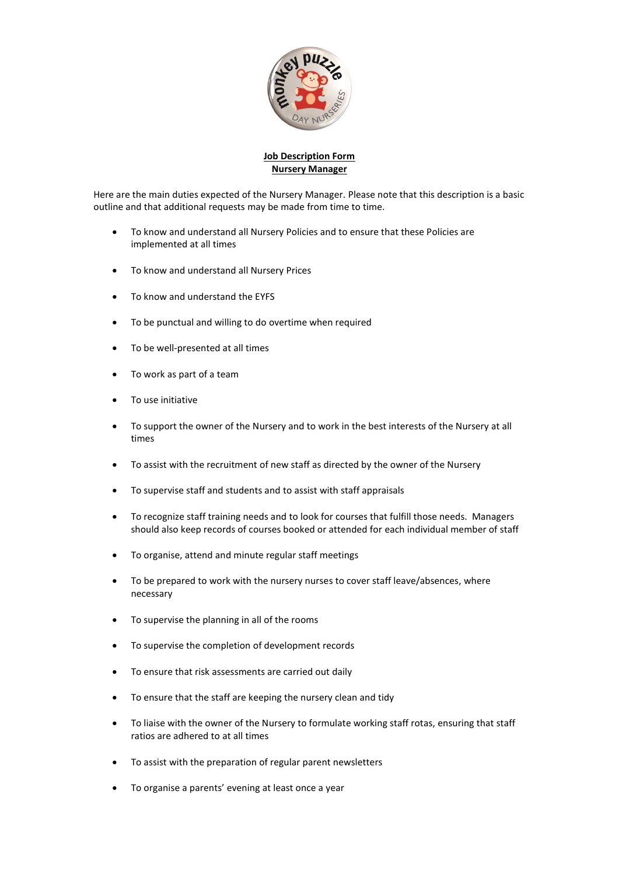

## **Job Description Form Nursery Manager**

Here are the main duties expected of the Nursery Manager. Please note that this description is a basic outline and that additional requests may be made from time to time.

- To know and understand all Nursery Policies and to ensure that these Policies are implemented at all times
- To know and understand all Nursery Prices
- To know and understand the EYFS
- To be punctual and willing to do overtime when required
- To be well-presented at all times
- To work as part of a team
- To use initiative
- To support the owner of the Nursery and to work in the best interests of the Nursery at all times
- To assist with the recruitment of new staff as directed by the owner of the Nursery
- To supervise staff and students and to assist with staff appraisals
- To recognize staff training needs and to look for courses that fulfill those needs. Managers should also keep records of courses booked or attended for each individual member of staff
- To organise, attend and minute regular staff meetings
- To be prepared to work with the nursery nurses to cover staff leave/absences, where necessary
- To supervise the planning in all of the rooms
- To supervise the completion of development records
- To ensure that risk assessments are carried out daily
- To ensure that the staff are keeping the nursery clean and tidy
- To liaise with the owner of the Nursery to formulate working staff rotas, ensuring that staff ratios are adhered to at all times
- To assist with the preparation of regular parent newsletters
- To organise a parents' evening at least once a year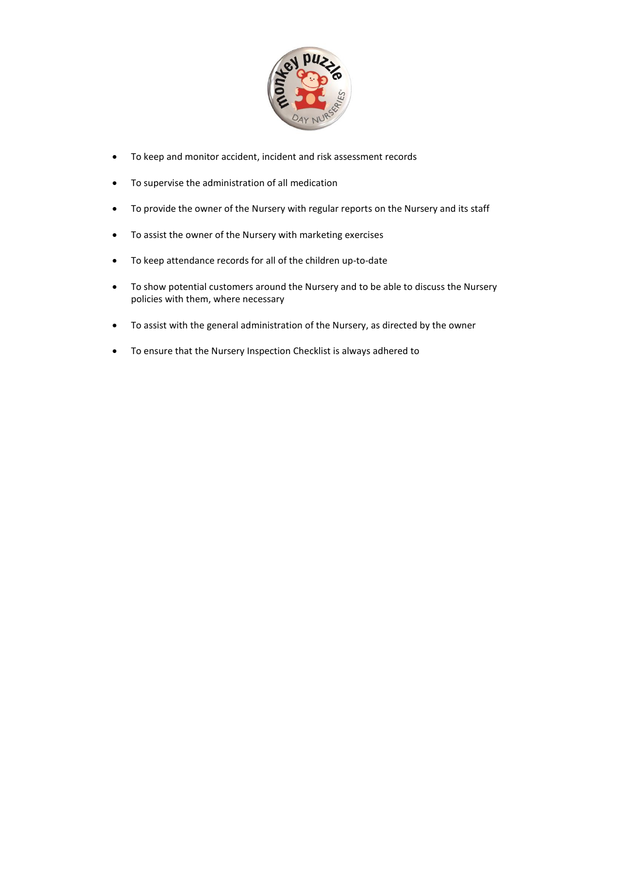

- To keep and monitor accident, incident and risk assessment records
- To supervise the administration of all medication
- To provide the owner of the Nursery with regular reports on the Nursery and its staff
- To assist the owner of the Nursery with marketing exercises
- To keep attendance records for all of the children up-to-date
- To show potential customers around the Nursery and to be able to discuss the Nursery policies with them, where necessary
- To assist with the general administration of the Nursery, as directed by the owner
- To ensure that the Nursery Inspection Checklist is always adhered to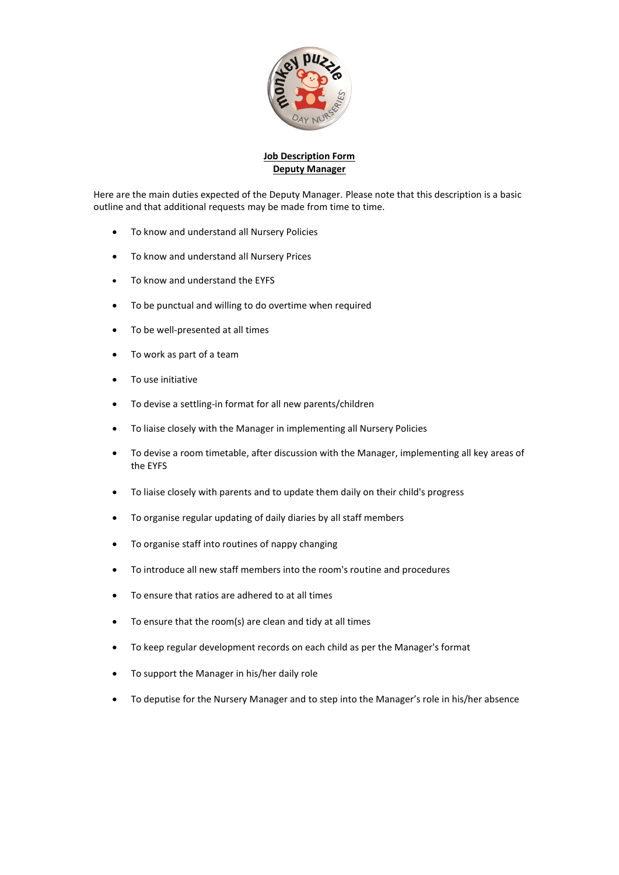

## **Job Description Form Deputy Manager**

Here are the main duties expected of the Deputy Manager. Please note that this description is a basic outline and that additional requests may be made from time to time.

- To know and understand all Nursery Policies
- To know and understand all Nursery Prices
- To know and understand the EYFS
- To be punctual and willing to do overtime when required
- To be well-presented at all times
- To work as part of a team
- To use initiative
- To devise a settling-in format for all new parents/children
- To liaise closely with the Manager in implementing all Nursery Policies
- To devise a room timetable, after discussion with the Manager, implementing all key areas of the EYFS
- To liaise closely with parents and to update them daily on their child's progress
- To organise regular updating of daily diaries by all staff members
- To organise staff into routines of nappy changing
- To introduce all new staff members into the room's routine and procedures
- To ensure that ratios are adhered to at all times
- To ensure that the room(s) are clean and tidy at all times
- To keep regular development records on each child as per the Manager's format
- To support the Manager in his/her daily role
- To deputise for the Nursery Manager and to step into the Manager's role in his/her absence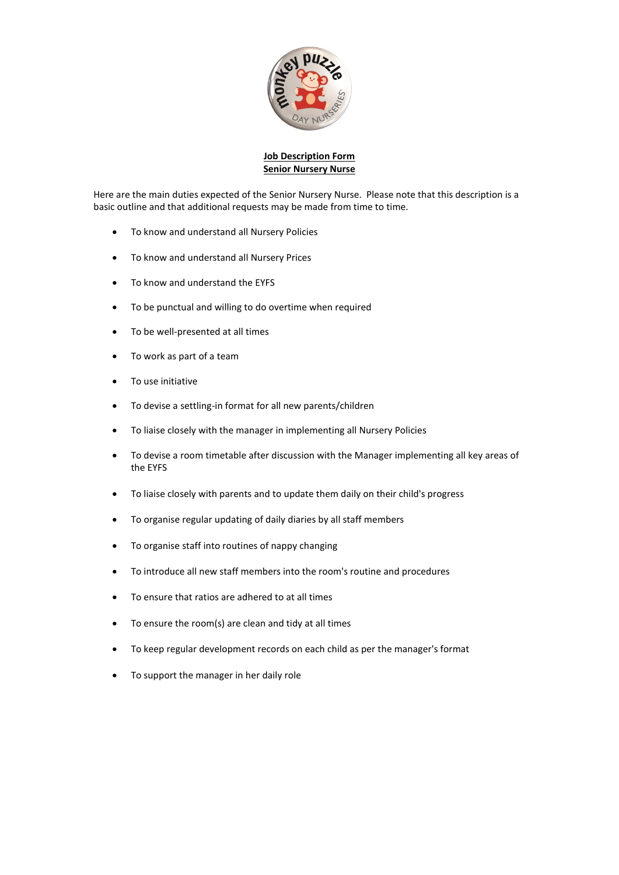

#### **Job Description Form Senior Nursery Nurse**

Here are the main duties expected of the Senior Nursery Nurse. Please note that this description is a basic outline and that additional requests may be made from time to time.

- To know and understand all Nursery Policies
- To know and understand all Nursery Prices
- To know and understand the EYFS
- To be punctual and willing to do overtime when required
- To be well-presented at all times
- To work as part of a team
- To use initiative
- To devise a settling-in format for all new parents/children
- To liaise closely with the manager in implementing all Nursery Policies
- To devise a room timetable after discussion with the Manager implementing all key areas of the EYFS
- To liaise closely with parents and to update them daily on their child's progress
- To organise regular updating of daily diaries by all staff members
- To organise staff into routines of nappy changing
- To introduce all new staff members into the room's routine and procedures
- To ensure that ratios are adhered to at all times
- To ensure the room(s) are clean and tidy at all times
- To keep regular development records on each child as per the manager's format
- To support the manager in her daily role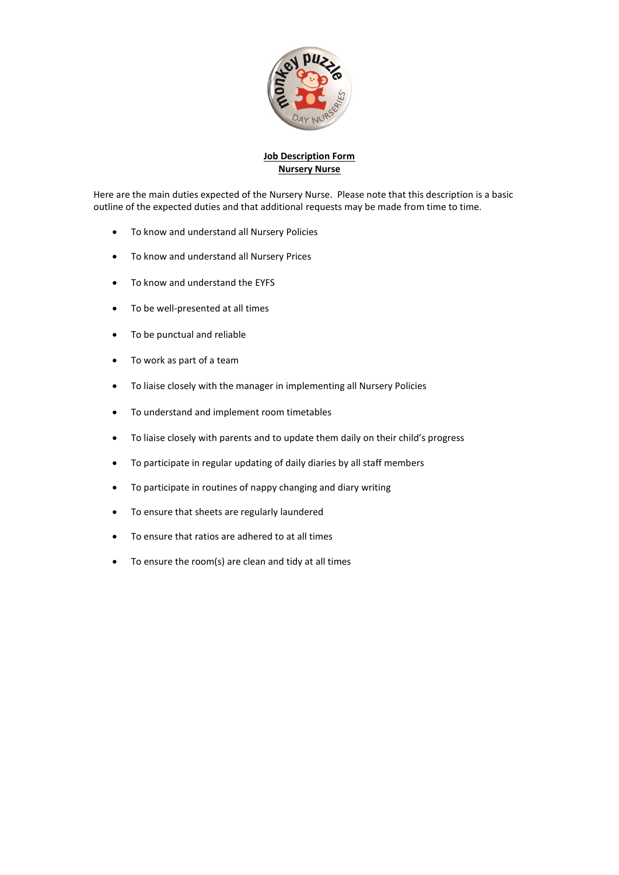

# **Job Description Form Nursery Nurse**

Here are the main duties expected of the Nursery Nurse. Please note that this description is a basic outline of the expected duties and that additional requests may be made from time to time.

- To know and understand all Nursery Policies
- To know and understand all Nursery Prices
- To know and understand the EYFS
- To be well-presented at all times
- To be punctual and reliable
- To work as part of a team
- To liaise closely with the manager in implementing all Nursery Policies
- To understand and implement room timetables
- To liaise closely with parents and to update them daily on their child's progress
- To participate in regular updating of daily diaries by all staff members
- To participate in routines of nappy changing and diary writing
- To ensure that sheets are regularly laundered
- To ensure that ratios are adhered to at all times
- To ensure the room(s) are clean and tidy at all times